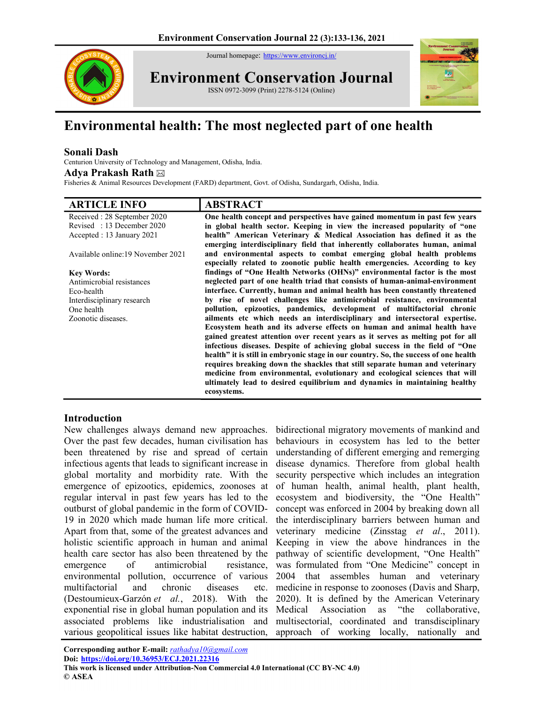Journal homepage: https://www.environcj.in/



Environment Conservation Journal ISSN 0972-3099 (Print) 2278-5124 (Online)



# Environmental health: The most neglected part of one health

## Sonali Dash

Centurion University of Technology and Management, Odisha, India. Adya Prakash Rath

Fisheries & Animal Resources Development (FARD) department, Govt. of Odisha, Sundargarh, Odisha, India.

| <b>ARTICLE INFO</b>                | <b>ABSTRACT</b>                                                                                                                                                                                                                                     |
|------------------------------------|-----------------------------------------------------------------------------------------------------------------------------------------------------------------------------------------------------------------------------------------------------|
| Received: 28 September 2020        | One health concept and perspectives have gained momentum in past few years                                                                                                                                                                          |
| Revised: 13 December 2020          | in global health sector. Keeping in view the increased popularity of "one                                                                                                                                                                           |
| Accepted : 13 January 2021         | health" American Veterinary & Medical Association has defined it as the<br>emerging interdisciplinary field that inherently collaborates human, animal                                                                                              |
| Available online: 19 November 2021 | and environmental aspects to combat emerging global health problems<br>especially related to zoonotic public health emergencies. According to key                                                                                                   |
| <b>Key Words:</b>                  | findings of "One Health Networks (OHNs)" environmental factor is the most                                                                                                                                                                           |
| Antimicrobial resistances          | neglected part of one health triad that consists of human-animal-environment                                                                                                                                                                        |
| Eco-health                         | interface. Currently, human and animal health has been constantly threatened                                                                                                                                                                        |
| Interdisciplinary research         | by rise of novel challenges like antimicrobial resistance, environmental                                                                                                                                                                            |
| One health                         | pollution, epizootics, pandemics, development of multifactorial chronic                                                                                                                                                                             |
| Zoonotic diseases.                 | ailments etc which needs an interdisciplinary and intersectoral expertise.                                                                                                                                                                          |
|                                    | Ecosystem heath and its adverse effects on human and animal health have<br>gained greatest attention over recent years as it serves as melting pot for all                                                                                          |
|                                    | infectious diseases. Despite of achieving global success in the field of "One"                                                                                                                                                                      |
|                                    | health" it is still in embryonic stage in our country. So, the success of one health<br>requires breaking down the shackles that still separate human and veterinary<br>medicine from environmental, evolutionary and ecological sciences that will |
|                                    | ultimately lead to desired equilibrium and dynamics in maintaining healthy<br>ecosystems.                                                                                                                                                           |

## Introduction

New challenges always demand new approaches. Over the past few decades, human civilisation has been threatened by rise and spread of certain infectious agents that leads to significant increase in global mortality and morbidity rate. With the emergence of epizootics, epidemics, zoonoses at regular interval in past few years has led to the outburst of global pandemic in the form of COVID-19 in 2020 which made human life more critical. Apart from that, some of the greatest advances and holistic scientific approach in human and animal health care sector has also been threatened by the emergence of antimicrobial resistance, environmental pollution, occurrence of various multifactorial and chronic diseases etc. (Destoumieux-Garzón et al., 2018). With the exponential rise in global human population and its associated problems like industrialisation and various geopolitical issues like habitat destruction,

bidirectional migratory movements of mankind and behaviours in ecosystem has led to the better understanding of different emerging and remerging disease dynamics. Therefore from global health security perspective which includes an integration of human health, animal health, plant health, ecosystem and biodiversity, the "One Health" concept was enforced in 2004 by breaking down all the interdisciplinary barriers between human and veterinary medicine (Zinsstag et al., 2011). Keeping in view the above hindrances in the pathway of scientific development, "One Health" was formulated from "One Medicine" concept in 2004 that assembles human and veterinary medicine in response to zoonoses (Davis and Sharp, 2020). It is defined by the American Veterinary Medical Association as "the collaborative, multisectorial, coordinated and transdisciplinary approach of working locally, nationally and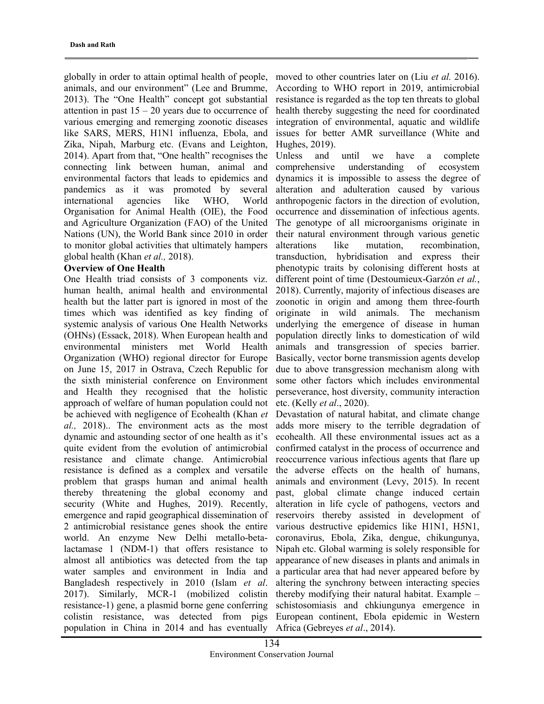globally in order to attain optimal health of people, animals, and our environment" (Lee and Brumme, 2013). The "One Health" concept got substantial attention in past  $15 - 20$  years due to occurrence of various emerging and remerging zoonotic diseases like SARS, MERS, H1N1 influenza, Ebola, and Zika, Nipah, Marburg etc. (Evans and Leighton, 2014). Apart from that, "One health" recognises the connecting link between human, animal and environmental factors that leads to epidemics and pandemics as it was promoted by several international agencies like WHO, World Organisation for Animal Health (OIE), the Food and Agriculture Organization (FAO) of the United Nations (UN), the World Bank since 2010 in order to monitor global activities that ultimately hampers global health (Khan et al., 2018).

#### Overview of One Health

One Health triad consists of 3 components viz. human health, animal health and environmental health but the latter part is ignored in most of the times which was identified as key finding of systemic analysis of various One Health Networks (OHNs) (Essack, 2018). When European health and environmental ministers met World Health Organization (WHO) regional director for Europe on June 15, 2017 in Ostrava, Czech Republic for the sixth ministerial conference on Environment and Health they recognised that the holistic approach of welfare of human population could not be achieved with negligence of Ecohealth (Khan et al., 2018).. The environment acts as the most dynamic and astounding sector of one health as it's quite evident from the evolution of antimicrobial resistance and climate change. Antimicrobial resistance is defined as a complex and versatile problem that grasps human and animal health thereby threatening the global economy and security (White and Hughes, 2019). Recently, emergence and rapid geographical dissemination of 2 antimicrobial resistance genes shook the entire world. An enzyme New Delhi metallo-betalactamase 1 (NDM-1) that offers resistance to almost all antibiotics was detected from the tap water samples and environment in India and Bangladesh respectively in 2010 (Islam et al. 2017). Similarly, MCR-1 (mobilized colistin resistance-1) gene, a plasmid borne gene conferring colistin resistance, was detected from pigs population in China in 2014 and has eventually

moved to other countries later on (Liu *et al.* 2016). According to WHO report in 2019, antimicrobial resistance is regarded as the top ten threats to global health thereby suggesting the need for coordinated integration of environmental, aquatic and wildlife issues for better AMR surveillance (White and Hughes, 2019).

Unless and until we have a complete comprehensive understanding of ecosystem dynamics it is impossible to assess the degree of alteration and adulteration caused by various anthropogenic factors in the direction of evolution, occurrence and dissemination of infectious agents. The genotype of all microorganisms originate in their natural environment through various genetic alterations like mutation, recombination, transduction, hybridisation and express their phenotypic traits by colonising different hosts at different point of time (Destoumieux-Garzón et al., 2018). Currently, majority of infectious diseases are zoonotic in origin and among them three-fourth originate in wild animals. The mechanism underlying the emergence of disease in human population directly links to domestication of wild animals and transgression of species barrier. Basically, vector borne transmission agents develop due to above transgression mechanism along with some other factors which includes environmental perseverance, host diversity, community interaction etc. (Kelly et al., 2020).

Devastation of natural habitat, and climate change adds more misery to the terrible degradation of ecohealth. All these environmental issues act as a confirmed catalyst in the process of occurrence and reoccurrence various infectious agents that flare up the adverse effects on the health of humans, animals and environment (Levy, 2015). In recent past, global climate change induced certain alteration in life cycle of pathogens, vectors and reservoirs thereby assisted in development of various destructive epidemics like H1N1, H5N1, coronavirus, Ebola, Zika, dengue, chikungunya, Nipah etc. Global warming is solely responsible for appearance of new diseases in plants and animals in a particular area that had never appeared before by altering the synchrony between interacting species thereby modifying their natural habitat. Example – schistosomiasis and chkiungunya emergence in European continent, Ebola epidemic in Western Africa (Gebreyes et al., 2014).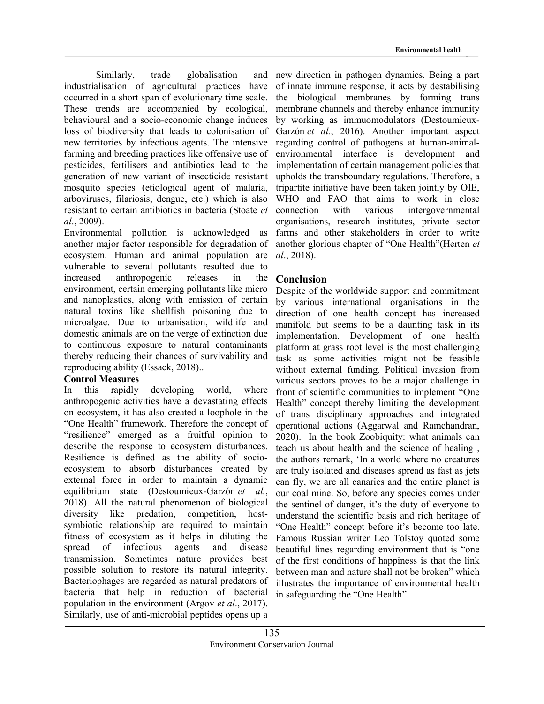Similarly, trade globalisation and industrialisation of agricultural practices have occurred in a short span of evolutionary time scale. These trends are accompanied by ecological, behavioural and a socio-economic change induces loss of biodiversity that leads to colonisation of new territories by infectious agents. The intensive farming and breeding practices like offensive use of pesticides, fertilisers and antibiotics lead to the generation of new variant of insecticide resistant mosquito species (etiological agent of malaria, arboviruses, filariosis, dengue, etc.) which is also resistant to certain antibiotics in bacteria (Stoate et al., 2009).

Environmental pollution is acknowledged as another major factor responsible for degradation of ecosystem. Human and animal population are vulnerable to several pollutants resulted due to increased anthropogenic releases in the environment, certain emerging pollutants like micro and nanoplastics, along with emission of certain natural toxins like shellfish poisoning due to microalgae. Due to urbanisation, wildlife and domestic animals are on the verge of extinction due to continuous exposure to natural contaminants thereby reducing their chances of survivability and reproducing ability (Essack, 2018)..

## Control Measures

In this rapidly developing world, where anthropogenic activities have a devastating effects on ecosystem, it has also created a loophole in the "One Health" framework. Therefore the concept of "resilience" emerged as a fruitful opinion to describe the response to ecosystem disturbances. Resilience is defined as the ability of socioecosystem to absorb disturbances created by external force in order to maintain a dynamic equilibrium state (Destoumieux-Garzón et al., 2018). All the natural phenomenon of biological diversity like predation, competition, hostsymbiotic relationship are required to maintain fitness of ecosystem as it helps in diluting the spread of infectious agents and disease transmission. Sometimes nature provides best possible solution to restore its natural integrity. Bacteriophages are regarded as natural predators of bacteria that help in reduction of bacterial population in the environment (Argov et al., 2017). Similarly, use of anti-microbial peptides opens up a

new direction in pathogen dynamics. Being a part of innate immune response, it acts by destabilising the biological membranes by forming trans membrane channels and thereby enhance immunity by working as immuomodulators (Destoumieux-Garzón et al., 2016). Another important aspect regarding control of pathogens at human-animalenvironmental interface is development and implementation of certain management policies that upholds the transboundary regulations. Therefore, a tripartite initiative have been taken jointly by OIE, WHO and FAO that aims to work in close connection with various intergovernmental organisations, research institutes, private sector farms and other stakeholders in order to write another glorious chapter of "One Health"(Herten et al., 2018).

## Conclusion

Despite of the worldwide support and commitment by various international organisations in the direction of one health concept has increased manifold but seems to be a daunting task in its implementation. Development of one health platform at grass root level is the most challenging task as some activities might not be feasible without external funding. Political invasion from various sectors proves to be a major challenge in front of scientific communities to implement "One Health" concept thereby limiting the development of trans disciplinary approaches and integrated operational actions (Aggarwal and Ramchandran, 2020). In the book Zoobiquity: what animals can teach us about health and the science of healing , the authors remark, 'In a world where no creatures are truly isolated and diseases spread as fast as jets can fly, we are all canaries and the entire planet is our coal mine. So, before any species comes under the sentinel of danger, it's the duty of everyone to understand the scientific basis and rich heritage of "One Health" concept before it's become too late. Famous Russian writer Leo Tolstoy quoted some beautiful lines regarding environment that is "one of the first conditions of happiness is that the link between man and nature shall not be broken" which illustrates the importance of environmental health in safeguarding the "One Health".